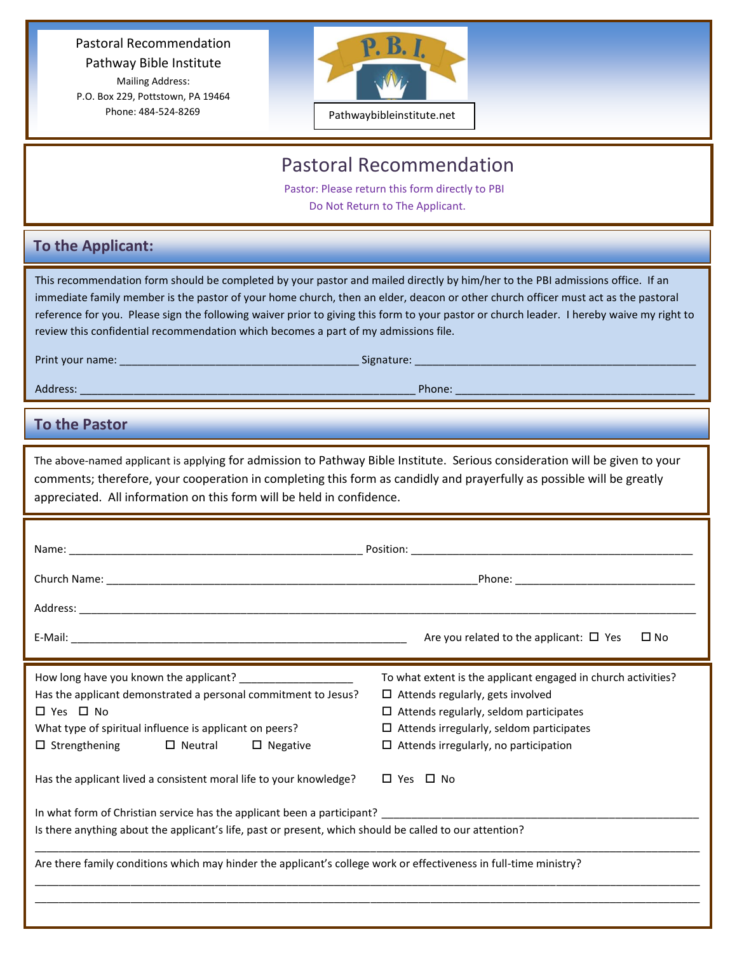Pastoral Recommendation Pathway Bible Institute Mailing Address: P.O. Box 229, Pottstown, PA 19464 Phone: 484-524-8269



## Pastoral Recommendation

 Pastor: Please return this form directly to PBI Do Not Return to The Applicant.

## **To the Applicant:**

This recommendation form should be completed by your pastor and mailed directly by him/her to the PBI admissions office. If an immediate family member is the pastor of your home church, then an elder, deacon or other church officer must act as the pastoral reference for you. Please sign the following waiver prior to giving this form to your pastor or church leader. I hereby waive my right to review this confidential recommendation which becomes a part of my admissions file.

Print your name: \_\_\_\_\_\_\_\_\_\_\_\_\_\_\_\_\_\_\_\_\_\_\_\_\_\_\_\_\_\_\_\_\_\_\_\_\_\_\_\_ Signature: \_\_\_\_\_\_\_\_\_\_\_\_\_\_\_\_\_\_\_\_\_\_\_\_\_\_\_\_\_\_\_\_\_\_\_\_\_\_\_\_\_\_\_\_\_\_\_

Address: \_\_\_\_\_\_\_\_\_\_\_\_\_\_\_\_\_\_\_\_\_\_\_\_\_\_\_\_\_\_\_\_\_\_\_\_\_\_\_\_\_\_\_\_\_\_\_\_\_\_\_\_\_\_\_\_ Phone: \_\_\_\_\_\_\_\_\_\_\_\_\_\_\_\_\_\_\_\_\_\_\_\_\_\_\_\_\_\_\_\_\_\_\_\_\_\_\_\_

## **To the Pastor**

The above-named applicant is applying for admission to Pathway Bible Institute. Serious consideration will be given to your comments; therefore, your cooperation in completing this form as candidly and prayerfully as possible will be greatly appreciated. All information on this form will be held in confidence.

|                                                                                                                   | $\square$ No<br>Are you related to the applicant: $\Box$ Yes  |  |  |  |
|-------------------------------------------------------------------------------------------------------------------|---------------------------------------------------------------|--|--|--|
|                                                                                                                   | To what extent is the applicant engaged in church activities? |  |  |  |
| Has the applicant demonstrated a personal commitment to Jesus?                                                    | $\Box$ Attends regularly, gets involved                       |  |  |  |
| □ Yes □ No                                                                                                        | $\Box$ Attends regularly, seldom participates                 |  |  |  |
| What type of spiritual influence is applicant on peers?                                                           | $\Box$ Attends irregularly, seldom participates               |  |  |  |
| $\Box$ Strengthening $\Box$ Neutral<br>$\Box$ Negative                                                            | $\Box$ Attends irregularly, no participation                  |  |  |  |
| Has the applicant lived a consistent moral life to your knowledge?                                                | $\Box$ Yes $\Box$ No                                          |  |  |  |
| In what form of Christian service has the applicant been a participant? The manuscription of Christian Christian  |                                                               |  |  |  |
| Is there anything about the applicant's life, past or present, which should be called to our attention?           |                                                               |  |  |  |
| Are there family conditions which may hinder the applicant's college work or effectiveness in full-time ministry? |                                                               |  |  |  |
|                                                                                                                   |                                                               |  |  |  |